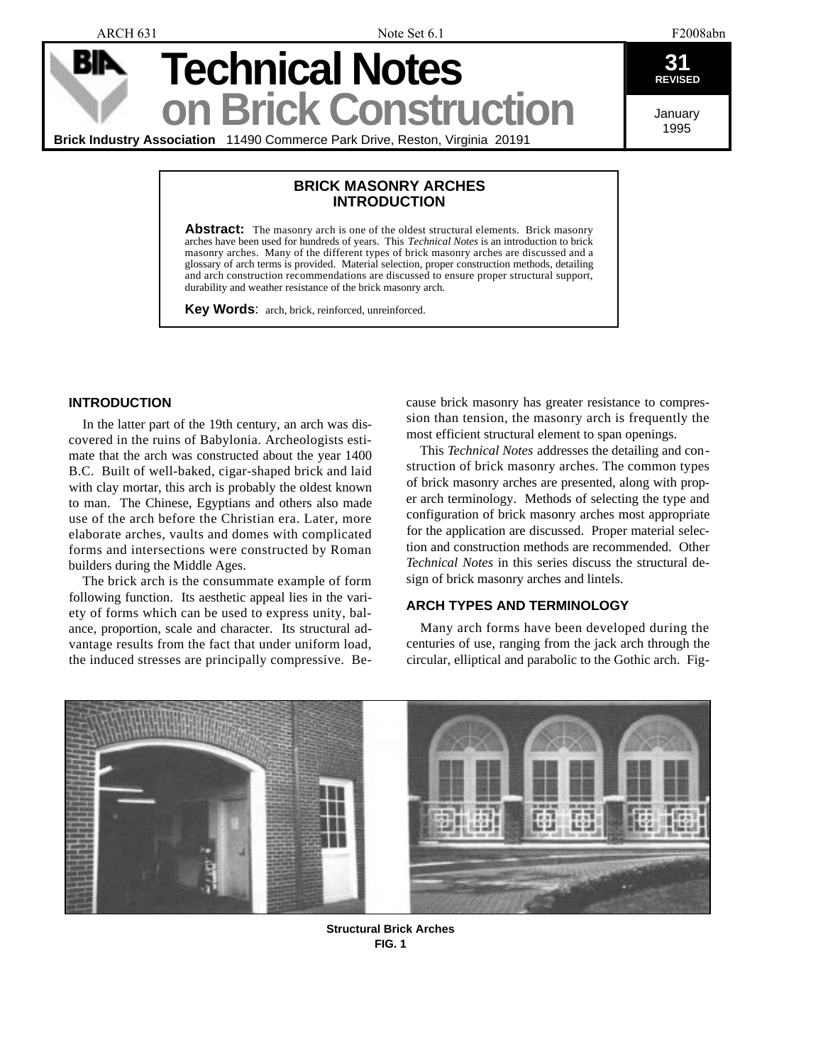ARCH 631 F2008abn

**Technical Notes REVISED** 

January 1995

**Brick Industry Association** 11490 Commerce Park Drive, Reston, Virginia 20191

# **BRICK MASONRY ARCHES INTRODUCTION**

**on Brick Construction**

**Abstract:** The masonry arch is one of the oldest structural elements. Brick masonry arches have been used for hundreds of years. This *Technical Notes* is an introduction to brick masonry arches. Many of the different types of brick masonry arches are discussed and a glossary of arch terms is provided. Material selection, proper construction methods, detailing and arch construction recommendations are discussed to ensure proper structural support, durability and weather resistance of the brick masonry arch.

**Key Words**: arch, brick, reinforced, unreinforced.

# **INTRODUCTION**

In the latter part of the 19th century, an arch was discovered in the ruins of Babylonia. Archeologists estimate that the arch was constructed about the year 1400 B.C. Built of well-baked, cigar-shaped brick and laid with clay mortar, this arch is probably the oldest known to man. The Chinese, Egyptians and others also made use of the arch before the Christian era. Later, more elaborate arches, vaults and domes with complicated forms and intersections were constructed by Roman builders during the Middle Ages.

The brick arch is the consummate example of form following function. Its aesthetic appeal lies in the variety of forms which can be used to express unity, balance, proportion, scale and character. Its structural advantage results from the fact that under uniform load, the induced stresses are principally compressive. Because brick masonry has greater resistance to compression than tension, the masonry arch is frequently the most efficient structural element to span openings.

This *Technical Notes* addresses the detailing and construction of brick masonry arches. The common types of brick masonry arches are presented, along with proper arch terminology. Methods of selecting the type and configuration of brick masonry arches most appropriate for the application are discussed. Proper material selection and construction methods are recommended. Other *Technical Notes* in this series discuss the structural design of brick masonry arches and lintels.

# **ARCH TYPES AND TERMINOLOGY**

Many arch forms have been developed during the centuries of use, ranging from the jack arch through the circular, elliptical and parabolic to the Gothic arch. Fig-



**Structural Brick Arches FIG. 1**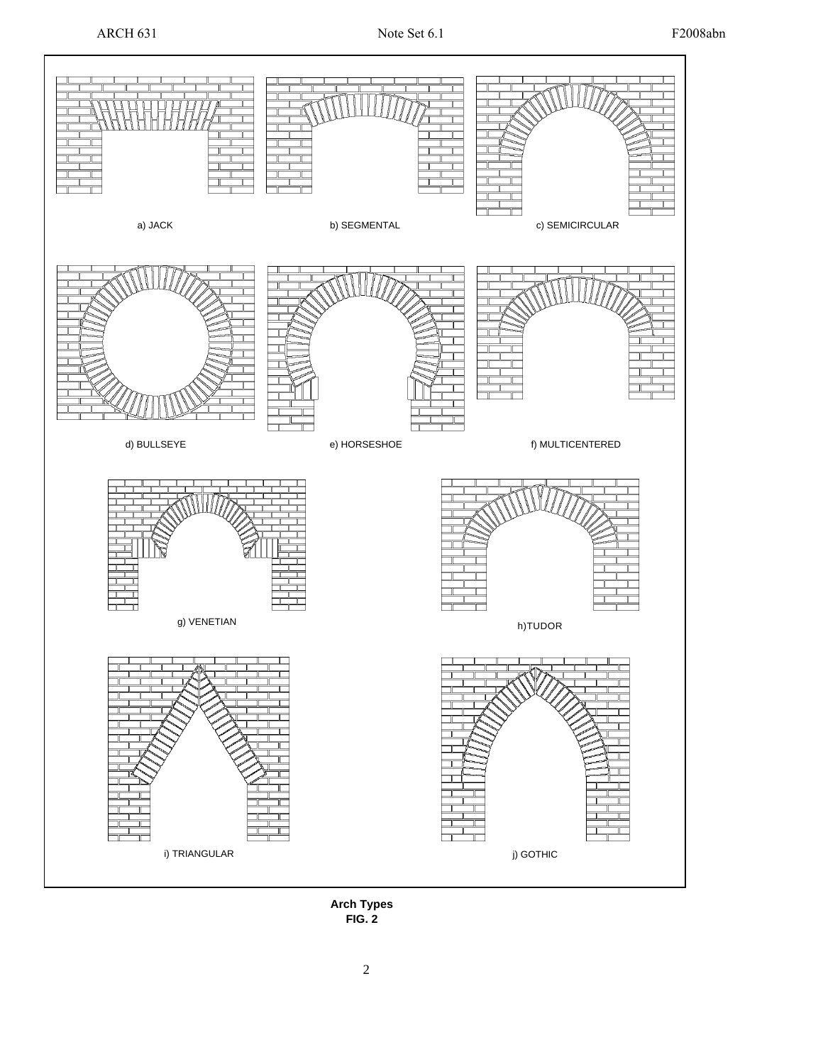

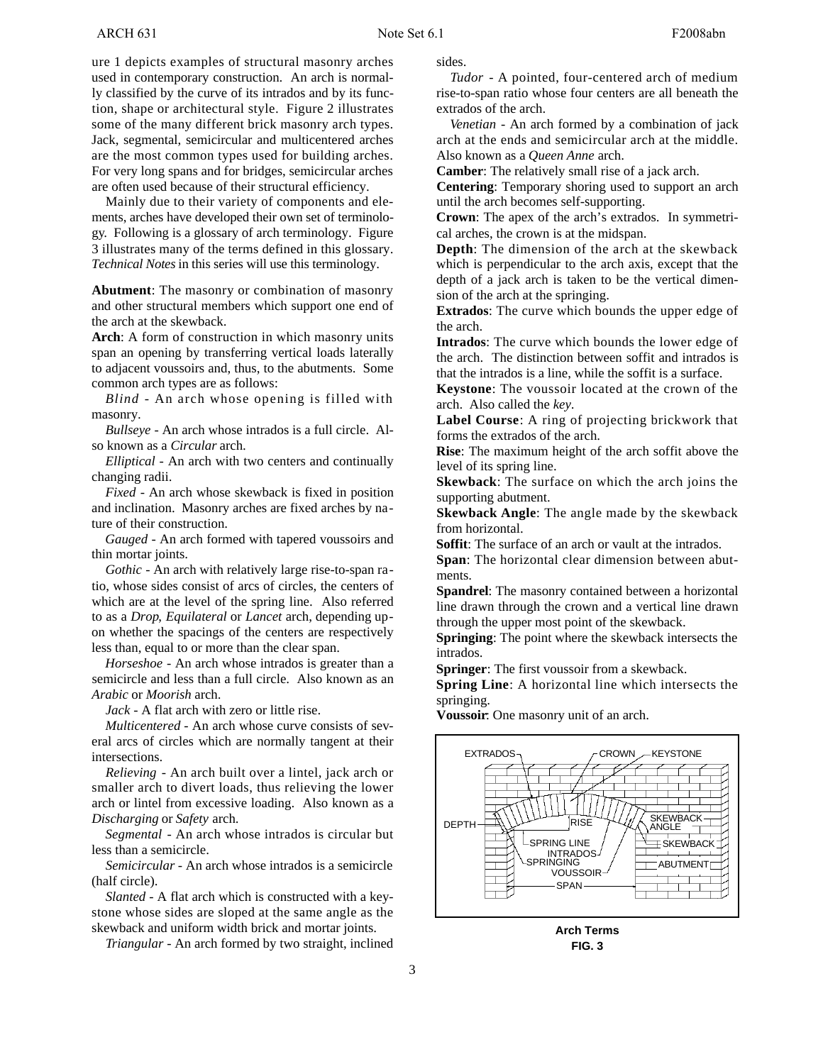ure 1 depicts examples of structural masonry arches used in contemporary construction. An arch is normally classified by the curve of its intrados and by its function, shape or architectural style. Figure 2 illustrates some of the many different brick masonry arch types. Jack, segmental, semicircular and multicentered arches are the most common types used for building arches. For very long spans and for bridges, semicircular arches are often used because of their structural efficiency.

Mainly due to their variety of components and elements, arches have developed their own set of terminology. Following is a glossary of arch terminology. Figure 3 illustrates many of the terms defined in this glossary. *Technical Notes* in this series will use this terminology.

**Abutment:** The masonry or combination of masonry and other structural members which support one end of the arch at the skewback.

**Arch:** A form of construction in which masonry units span an opening by transferring vertical loads laterally to adjacent voussoirs and, thus, to the abutments. Some common arch types are as follows:

*Blind* - An arch whose opening is filled with masonry.

*Bullseye* - An arch whose intrados is a full circle. Also known as a *Circular* arch.

*Elliptical* - An arch with two centers and continually changing radii.

*Fixed* - An arch whose skewback is fixed in position and inclination. Masonry arches are fixed arches by nature of their construction.

*Gauged* - An arch formed with tapered voussoirs and thin mortar joints.

*Gothic* - An arch with relatively large rise-to-span ratio, whose sides consist of arcs of circles, the centers of which are at the level of the spring line. Also referred to as a *Drop*, *Equilateral* or *Lancet* arch, depending upon whether the spacings of the centers are respectively less than, equal to or more than the clear span.

*Horseshoe* - An arch whose intrados is greater than a semicircle and less than a full circle. Also known as an *Arabic* or *Moorish* arch.

*Jack* - A flat arch with zero or little rise.

*Multicentered* - An arch whose curve consists of several arcs of circles which are normally tangent at their intersections.

*Relieving* - An arch built over a lintel, jack arch or smaller arch to divert loads, thus relieving the lower arch or lintel from excessive loading. Also known as a *Discharging* or *Safety* arch.

*Segmental* - An arch whose intrados is circular but less than a semicircle.

*Semicircular* - An arch whose intrados is a semicircle (half circle).

*Slanted* - A flat arch which is constructed with a keystone whose sides are sloped at the same angle as the skewback and uniform width brick and mortar joints.

*Triangular* - An arch formed by two straight, inclined

sides.

*Tudor* - A pointed, four-centered arch of medium rise-to-span ratio whose four centers are all beneath the extrados of the arch.

*Venetian* - An arch formed by a combination of jack arch at the ends and semicircular arch at the middle. Also known as a *Queen Anne* arch.

**Camber**: The relatively small rise of a jack arch.

**Centering**: Temporary shoring used to support an arch until the arch becomes self-supporting.

**Crown**: The apex of the arch's extrados. In symmetrical arches, the crown is at the midspan.

**Depth**: The dimension of the arch at the skewback which is perpendicular to the arch axis, except that the depth of a jack arch is taken to be the vertical dimension of the arch at the springing.

**Extrados:** The curve which bounds the upper edge of the arch.

**Intrados:** The curve which bounds the lower edge of the arch. The distinction between soffit and intrados is that the intrados is a line, while the soffit is a surface.

**Keystone**: The voussoir located at the crown of the arch. Also called the *key*.

**Label Course**: A ring of projecting brickwork that forms the extrados of the arch.

**Rise**: The maximum height of the arch soffit above the level of its spring line.

**Skewback:** The surface on which the arch joins the supporting abutment.

**Skewback Angle**: The angle made by the skewback from horizontal.

**Soffit**: The surface of an arch or vault at the intrados.

**Span**: The horizontal clear dimension between abutments.

**Spandrel**: The masonry contained between a horizontal line drawn through the crown and a vertical line drawn through the upper most point of the skewback.

**Springing**: The point where the skewback intersects the intrados.

**Springer**: The first voussoir from a skewback.

**Spring Line**: A horizontal line which intersects the springing.

**Voussoir**: One masonry unit of an arch.



**Arch Terms FIG. 3**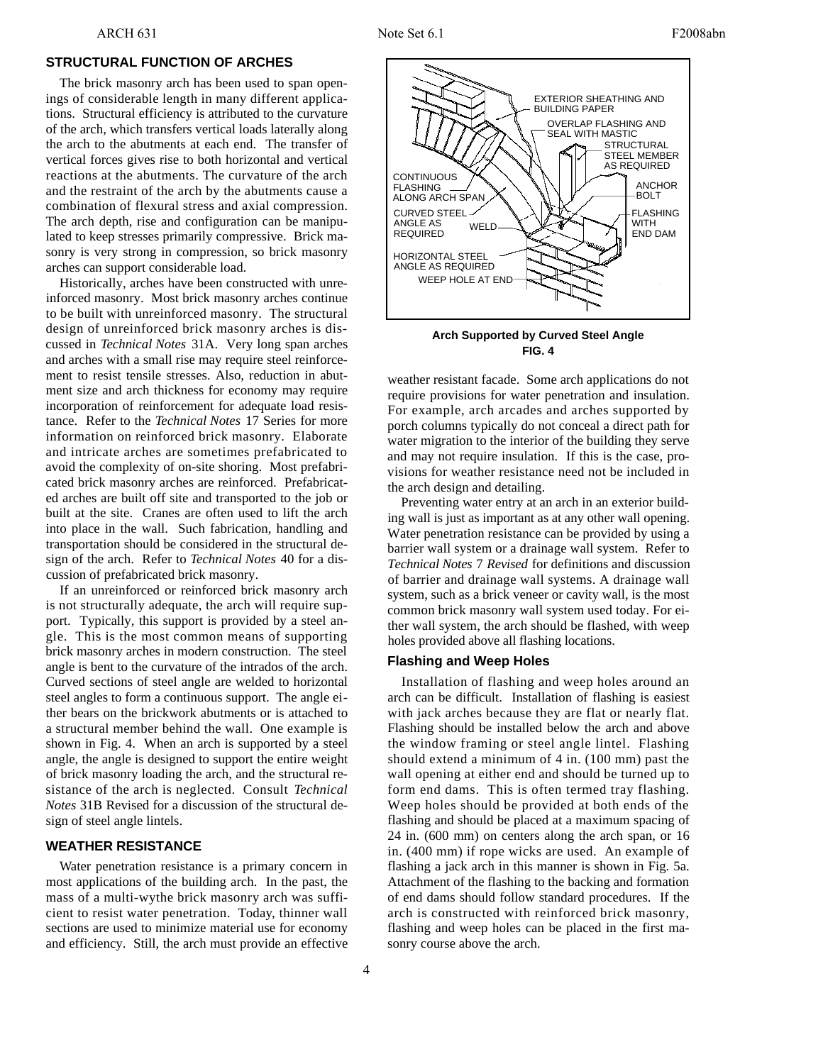The brick masonry arch has been used to span openings of considerable length in many different applications. Structural efficiency is attributed to the curvature of the arch, which transfers vertical loads laterally along the arch to the abutments at each end. The transfer of vertical forces gives rise to both horizontal and vertical reactions at the abutments. The curvature of the arch and the restraint of the arch by the abutments cause a combination of flexural stress and axial compression. The arch depth, rise and configuration can be manipulated to keep stresses primarily compressive. Brick masonry is very strong in compression, so brick masonry arches can support considerable load.

Historically, arches have been constructed with unreinforced masonry. Most brick masonry arches continue to be built with unreinforced masonry. The structural design of unreinforced brick masonry arches is discussed in *Technical Notes* 31A. Very long span arches and arches with a small rise may require steel reinforcement to resist tensile stresses. Also, reduction in abutment size and arch thickness for economy may require incorporation of reinforcement for adequate load resistance. Refer to the *Technical Notes* 17 Series for more information on reinforced brick masonry. Elaborate and intricate arches are sometimes prefabricated to avoid the complexity of on-site shoring. Most prefabricated brick masonry arches are reinforced. Prefabricated arches are built off site and transported to the job or built at the site. Cranes are often used to lift the arch into place in the wall. Such fabrication, handling and transportation should be considered in the structural design of the arch. Refer to *Technical Notes* 40 for a discussion of prefabricated brick masonry.

If an unreinforced or reinforced brick masonry arch is not structurally adequate, the arch will require support. Typically, this support is provided by a steel angle. This is the most common means of supporting brick masonry arches in modern construction. The steel angle is bent to the curvature of the intrados of the arch. Curved sections of steel angle are welded to horizontal steel angles to form a continuous support. The angle either bears on the brickwork abutments or is attached to a structural member behind the wall. One example is shown in Fig. 4. When an arch is supported by a steel angle, the angle is designed to support the entire weight of brick masonry loading the arch, and the structural resistance of the arch is neglected. Consult *Technical Notes* 31B Revised for a discussion of the structural design of steel angle lintels.

## **WEATHER RESISTANCE**

Water penetration resistance is a primary concern in most applications of the building arch. In the past, the mass of a multi-wythe brick masonry arch was sufficient to resist water penetration. Today, thinner wall sections are used to minimize material use for economy and efficiency. Still, the arch must provide an effective





weather resistant facade. Some arch applications do not require provisions for water penetration and insulation. For example, arch arcades and arches supported by porch columns typically do not conceal a direct path for water migration to the interior of the building they serve and may not require insulation. If this is the case, provisions for weather resistance need not be included in the arch design and detailing.

Preventing water entry at an arch in an exterior building wall is just as important as at any other wall opening. Water penetration resistance can be provided by using a barrier wall system or a drainage wall system. Refer to *Technical Notes* 7 *Revised* for definitions and discussion of barrier and drainage wall systems. A drainage wall system, such as a brick veneer or cavity wall, is the most common brick masonry wall system used today. For either wall system, the arch should be flashed, with weep holes provided above all flashing locations.

### **Flashing and Weep Holes**

Installation of flashing and weep holes around an arch can be difficult. Installation of flashing is easiest with jack arches because they are flat or nearly flat. Flashing should be installed below the arch and above the window framing or steel angle lintel. Flashing should extend a minimum of 4 in. (100 mm) past the wall opening at either end and should be turned up to form end dams. This is often termed tray flashing. Weep holes should be provided at both ends of the flashing and should be placed at a maximum spacing of 24 in. (600 mm) on centers along the arch span, or 16 in. (400 mm) if rope wicks are used. An example of flashing a jack arch in this manner is shown in Fig. 5a. Attachment of the flashing to the backing and formation of end dams should follow standard procedures. If the arch is constructed with reinforced brick masonry, flashing and weep holes can be placed in the first masonry course above the arch.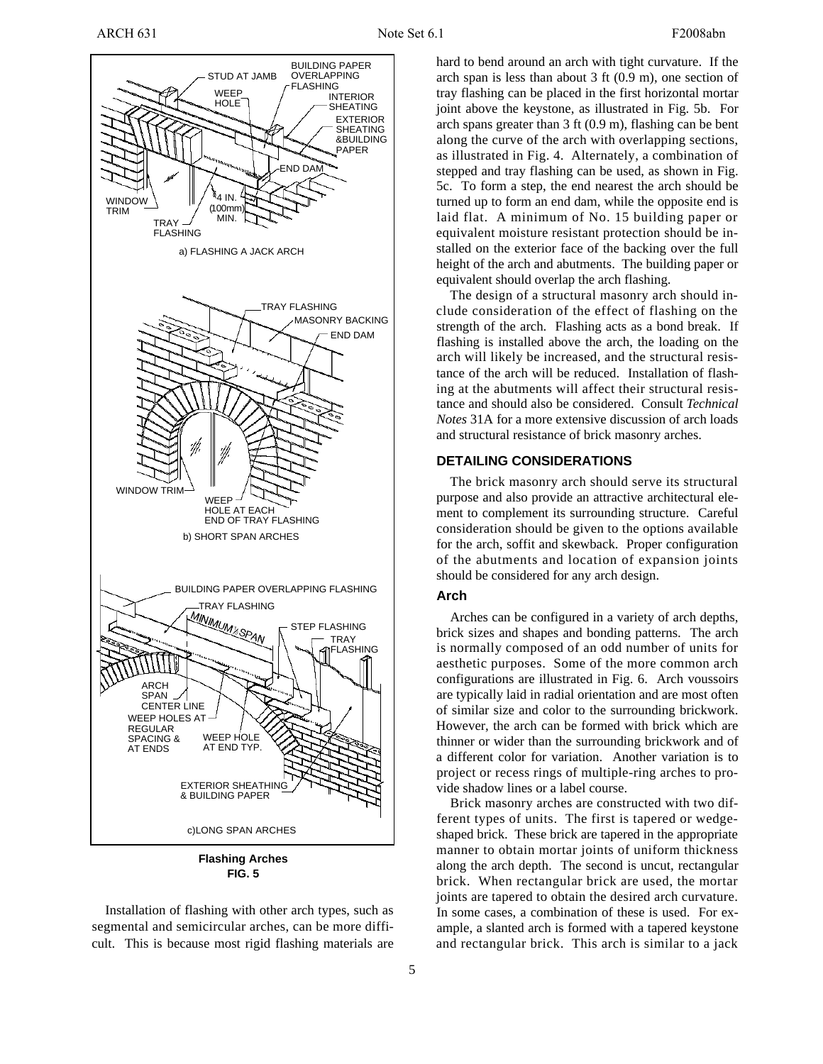

**Flashing Arches FIG. 5**

Installation of flashing with other arch types, such as segmental and semicircular arches, can be more difficult. This is because most rigid flashing materials are

ARCH 631 F2008abn

hard to bend around an arch with tight curvature. If the arch span is less than about 3 ft (0.9 m), one section of tray flashing can be placed in the first horizontal mortar joint above the keystone, as illustrated in Fig. 5b. For arch spans greater than 3 ft (0.9 m), flashing can be bent along the curve of the arch with overlapping sections, as illustrated in Fig. 4. Alternately, a combination of stepped and tray flashing can be used, as shown in Fig. 5c. To form a step, the end nearest the arch should be turned up to form an end dam, while the opposite end is laid flat. A minimum of No. 15 building paper or equivalent moisture resistant protection should be installed on the exterior face of the backing over the full height of the arch and abutments. The building paper or equivalent should overlap the arch flashing.

The design of a structural masonry arch should include consideration of the effect of flashing on the strength of the arch. Flashing acts as a bond break. If flashing is installed above the arch, the loading on the arch will likely be increased, and the structural resistance of the arch will be reduced. Installation of flashing at the abutments will affect their structural resistance and should also be considered. Consult *Technical Notes* 31A for a more extensive discussion of arch loads and structural resistance of brick masonry arches.

### **DETAILING CONSIDERATIONS**

The brick masonry arch should serve its structural purpose and also provide an attractive architectural element to complement its surrounding structure. Careful consideration should be given to the options available for the arch, soffit and skewback. Proper configuration of the abutments and location of expansion joints should be considered for any arch design.

## **Arch**

Arches can be configured in a variety of arch depths, brick sizes and shapes and bonding patterns. The arch is normally composed of an odd number of units for aesthetic purposes. Some of the more common arch configurations are illustrated in Fig. 6. Arch voussoirs are typically laid in radial orientation and are most often of similar size and color to the surrounding brickwork. However, the arch can be formed with brick which are thinner or wider than the surrounding brickwork and of a different color for variation. Another variation is to project or recess rings of multiple-ring arches to provide shadow lines or a label course.

Brick masonry arches are constructed with two different types of units. The first is tapered or wedgeshaped brick. These brick are tapered in the appropriate manner to obtain mortar joints of uniform thickness along the arch depth. The second is uncut, rectangular brick. When rectangular brick are used, the mortar joints are tapered to obtain the desired arch curvature. In some cases, a combination of these is used. For example, a slanted arch is formed with a tapered keystone and rectangular brick. This arch is similar to a jack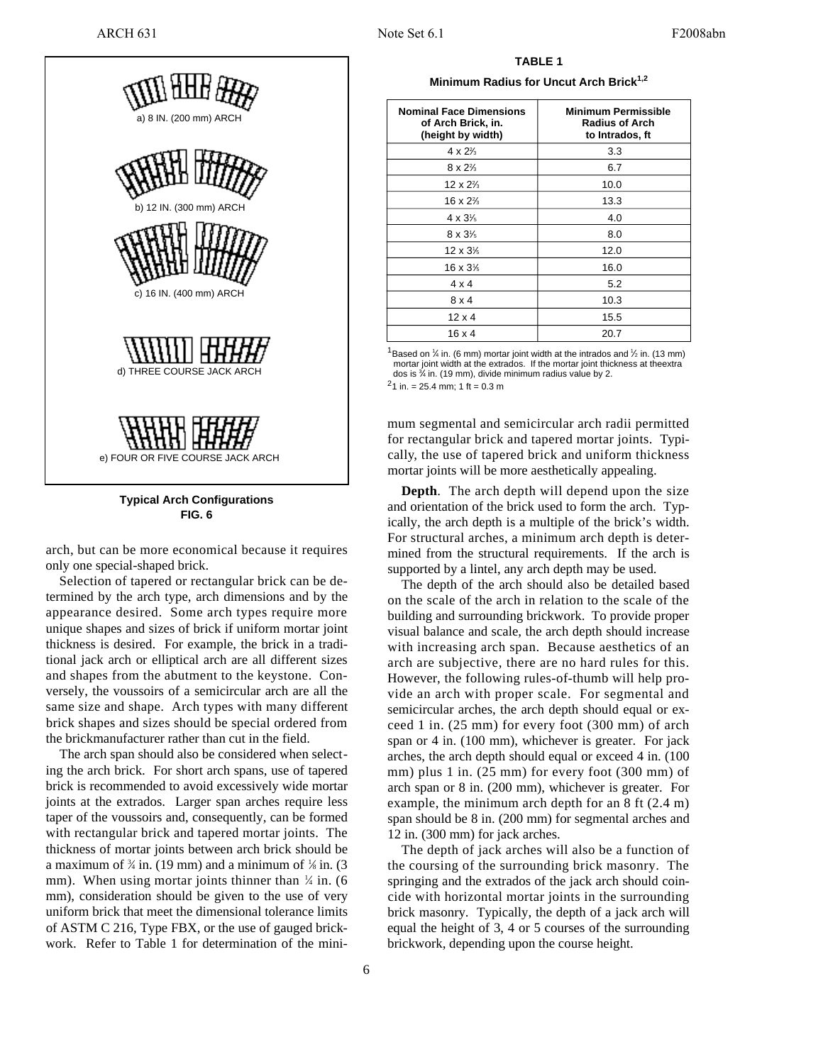

**Typical Arch Configurations FIG. 6**

arch, but can be more economical because it requires only one special-shaped brick.

Selection of tapered or rectangular brick can be determined by the arch type, arch dimensions and by the appearance desired. Some arch types require more unique shapes and sizes of brick if uniform mortar joint thickness is desired. For example, the brick in a traditional jack arch or elliptical arch are all different sizes and shapes from the abutment to the keystone. Conversely, the voussoirs of a semicircular arch are all the same size and shape. Arch types with many different brick shapes and sizes should be special ordered from the brickmanufacturer rather than cut in the field.

The arch span should also be considered when selecting the arch brick. For short arch spans, use of tapered brick is recommended to avoid excessively wide mortar joints at the extrados. Larger span arches require less taper of the voussoirs and, consequently, can be formed with rectangular brick and tapered mortar joints. The thickness of mortar joints between arch brick should be a maximum of  $\frac{3}{4}$  in. (19 mm) and a minimum of  $\frac{1}{8}$  in. (3 mm). When using mortar joints thinner than  $\frac{1}{4}$  in. (6) mm), consideration should be given to the use of very uniform brick that meet the dimensional tolerance limits of ASTM C 216, Type FBX, or the use of gauged brickwork. Refer to Table 1 for determination of the mini-

**TABLE 1 Minimum Radius for Uncut Arch Brick1,2**

| <b>Nominal Face Dimensions</b><br>of Arch Brick, in.<br>(height by width) | <b>Minimum Permissible</b><br><b>Radius of Arch</b><br>to Intrados, ft |
|---------------------------------------------------------------------------|------------------------------------------------------------------------|
| $4 \times 2\frac{2}{3}$                                                   | 3.3                                                                    |
| $8 \times 2\%$                                                            | 6.7                                                                    |
| $12 \times 2\frac{2}{3}$                                                  | 10.0                                                                   |
| 16 x 2 <sup>2</sup> / <sub>3</sub>                                        | 13.3                                                                   |
| $4 \times 3\frac{1}{5}$                                                   | 4.0                                                                    |
| $8 \times 3\frac{1}{5}$                                                   | 8.0                                                                    |
| $12 \times 3\%$                                                           | 12.0                                                                   |
| 16 x 3 <sup>1</sup> / <sub>6</sub>                                        | 16.0                                                                   |
| $4 \times 4$                                                              | 5.2                                                                    |
| $8 \times 4$                                                              | 10.3                                                                   |
| $12 \times 4$                                                             | 15.5                                                                   |
| $16 \times 4$                                                             | 20.7                                                                   |

<sup>1</sup>Based on 1/4 in. (6 mm) mortar joint width at the intrados and 1/2 in. (13 mm) mortar joint width at the extrados. If the mortar joint thickness at theextra dos is  $\frac{3}{4}$  in. (19 mm), divide minimum radius value by 2.

 $^{2}$ 1 in. = 25.4 mm; 1 ft = 0.3 m

mum segmental and semicircular arch radii permitted for rectangular brick and tapered mortar joints. Typically, the use of tapered brick and uniform thickness mortar joints will be more aesthetically appealing.

**Depth.** The arch depth will depend upon the size and orientation of the brick used to form the arch. Typically, the arch depth is a multiple of the brick's width. For structural arches, a minimum arch depth is determined from the structural requirements. If the arch is supported by a lintel, any arch depth may be used.

The depth of the arch should also be detailed based on the scale of the arch in relation to the scale of the building and surrounding brickwork. To provide proper visual balance and scale, the arch depth should increase with increasing arch span. Because aesthetics of an arch are subjective, there are no hard rules for this. However, the following rules-of-thumb will help provide an arch with proper scale. For segmental and semicircular arches, the arch depth should equal or exceed 1 in. (25 mm) for every foot (300 mm) of arch span or 4 in. (100 mm), whichever is greater. For jack arches, the arch depth should equal or exceed 4 in. (100 mm) plus 1 in. (25 mm) for every foot (300 mm) of arch span or 8 in. (200 mm), whichever is greater. For example, the minimum arch depth for an 8 ft (2.4 m) span should be 8 in. (200 mm) for segmental arches and 12 in. (300 mm) for jack arches.

The depth of jack arches will also be a function of the coursing of the surrounding brick masonry. The springing and the extrados of the jack arch should coincide with horizontal mortar joints in the surrounding brick masonry. Typically, the depth of a jack arch will equal the height of 3, 4 or 5 courses of the surrounding brickwork, depending upon the course height.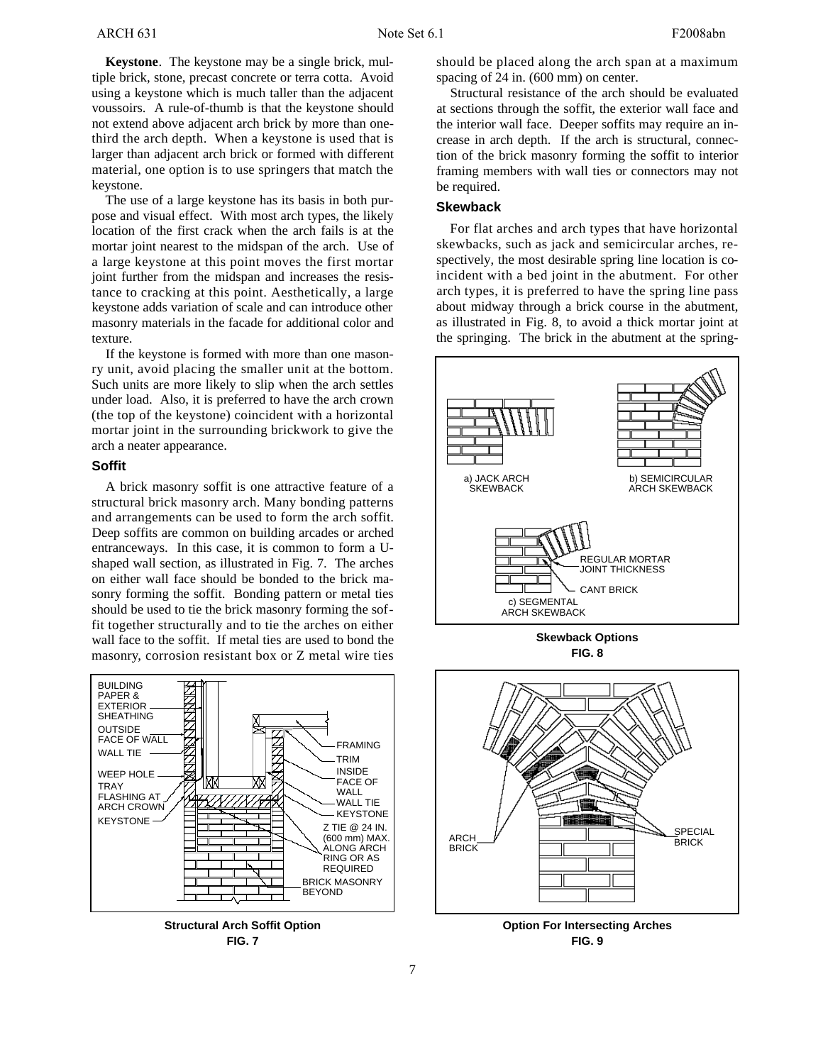**Keystone**. The keystone may be a single brick, multiple brick, stone, precast concrete or terra cotta. Avoid using a keystone which is much taller than the adjacent voussoirs. A rule-of-thumb is that the keystone should not extend above adjacent arch brick by more than onethird the arch depth. When a keystone is used that is larger than adjacent arch brick or formed with different material, one option is to use springers that match the keystone.

The use of a large keystone has its basis in both purpose and visual effect. With most arch types, the likely location of the first crack when the arch fails is at the mortar joint nearest to the midspan of the arch. Use of a large keystone at this point moves the first mortar joint further from the midspan and increases the resistance to cracking at this point. Aesthetically, a large keystone adds variation of scale and can introduce other masonry materials in the facade for additional color and texture.

If the keystone is formed with more than one masonry unit, avoid placing the smaller unit at the bottom. Such units are more likely to slip when the arch settles under load. Also, it is preferred to have the arch crown (the top of the keystone) coincident with a horizontal mortar joint in the surrounding brickwork to give the arch a neater appearance.

## **Soffit**

A brick masonry soffit is one attractive feature of a structural brick masonry arch. Many bonding patterns and arrangements can be used to form the arch soffit. Deep soffits are common on building arcades or arched entranceways. In this case, it is common to form a Ushaped wall section, as illustrated in Fig. 7. The arches on either wall face should be bonded to the brick masonry forming the soffit. Bonding pattern or metal ties should be used to tie the brick masonry forming the soffit together structurally and to tie the arches on either wall face to the soffit. If metal ties are used to bond the masonry, corrosion resistant box or Z metal wire ties



**Structural Arch Soffit Option FIG. 7**

should be placed along the arch span at a maximum spacing of 24 in. (600 mm) on center.

Structural resistance of the arch should be evaluated at sections through the soffit, the exterior wall face and the interior wall face. Deeper soffits may require an increase in arch depth. If the arch is structural, connection of the brick masonry forming the soffit to interior framing members with wall ties or connectors may not be required.

## **Skewback**

For flat arches and arch types that have horizontal skewbacks, such as jack and semicircular arches, respectively, the most desirable spring line location is coincident with a bed joint in the abutment. For other arch types, it is preferred to have the spring line pass about midway through a brick course in the abutment, as illustrated in Fig. 8, to avoid a thick mortar joint at the springing. The brick in the abutment at the spring-



**Skewback Options FIG. 8**



**FIG. 9**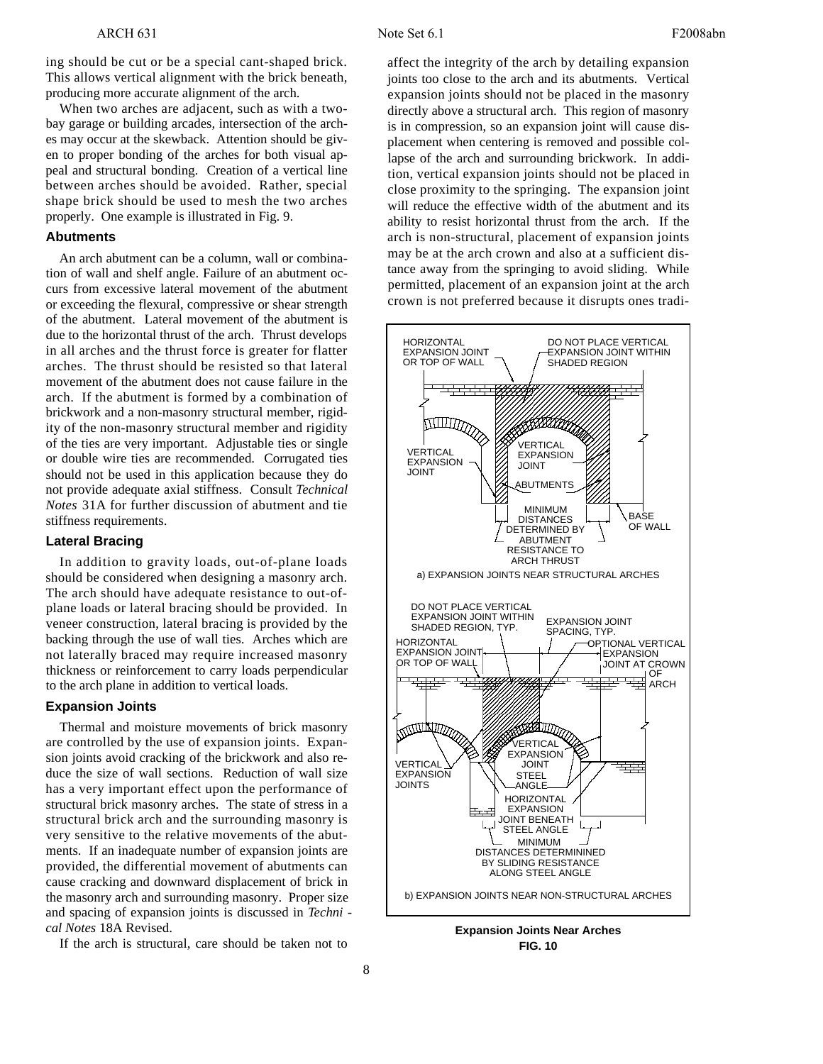ing should be cut or be a special cant-shaped brick. This allows vertical alignment with the brick beneath, producing more accurate alignment of the arch.

When two arches are adjacent, such as with a twobay garage or building arcades, intersection of the arches may occur at the skewback. Attention should be given to proper bonding of the arches for both visual appeal and structural bonding. Creation of a vertical line between arches should be avoided. Rather, special shape brick should be used to mesh the two arches properly. One example is illustrated in Fig. 9.

### **Abutments**

An arch abutment can be a column, wall or combination of wall and shelf angle. Failure of an abutment occurs from excessive lateral movement of the abutment or exceeding the flexural, compressive or shear strength of the abutment. Lateral movement of the abutment is due to the horizontal thrust of the arch. Thrust develops in all arches and the thrust force is greater for flatter arches. The thrust should be resisted so that lateral movement of the abutment does not cause failure in the arch. If the abutment is formed by a combination of brickwork and a non-masonry structural member, rigidity of the non-masonry structural member and rigidity of the ties are very important. Adjustable ties or single or double wire ties are recommended. Corrugated ties should not be used in this application because they do not provide adequate axial stiffness. Consult *Technical Notes* 31A for further discussion of abutment and tie stiffness requirements.

#### **Lateral Bracing**

In addition to gravity loads, out-of-plane loads should be considered when designing a masonry arch. The arch should have adequate resistance to out-ofplane loads or lateral bracing should be provided. In veneer construction, lateral bracing is provided by the backing through the use of wall ties. Arches which are not laterally braced may require increased masonry thickness or reinforcement to carry loads perpendicular to the arch plane in addition to vertical loads.

### **Expansion Joints**

Thermal and moisture movements of brick masonry are controlled by the use of expansion joints. Expansion joints avoid cracking of the brickwork and also reduce the size of wall sections. Reduction of wall size has a very important effect upon the performance of structural brick masonry arches. The state of stress in a structural brick arch and the surrounding masonry is very sensitive to the relative movements of the abutments. If an inadequate number of expansion joints are provided, the differential movement of abutments can cause cracking and downward displacement of brick in the masonry arch and surrounding masonry. Proper size and spacing of expansion joints is discussed in *Techni cal Notes* 18A Revised.

If the arch is structural, care should be taken not to

a ffect the integrity of the arch by detailing expansion joints too close to the arch and its abutments. Vertical expansion joints should not be placed in the masonry directly above a structural arch. This region of masonry is in compression, so an expansion joint will cause displacement when centering is removed and possible collapse of the arch and surrounding brickwork. In addition, vertical expansion joints should not be placed in close proximity to the springing. The expansion joint will reduce the effective width of the abutment and its ability to resist horizontal thrust from the arch. If the arch is non-structural, placement of expansion joints may be at the arch crown and also at a sufficient distance away from the springing to avoid sliding. While permitted, placement of an expansion joint at the arch crown is not preferred because it disrupts ones tradi-



**Expansion Joints Near Arches FIG. 10**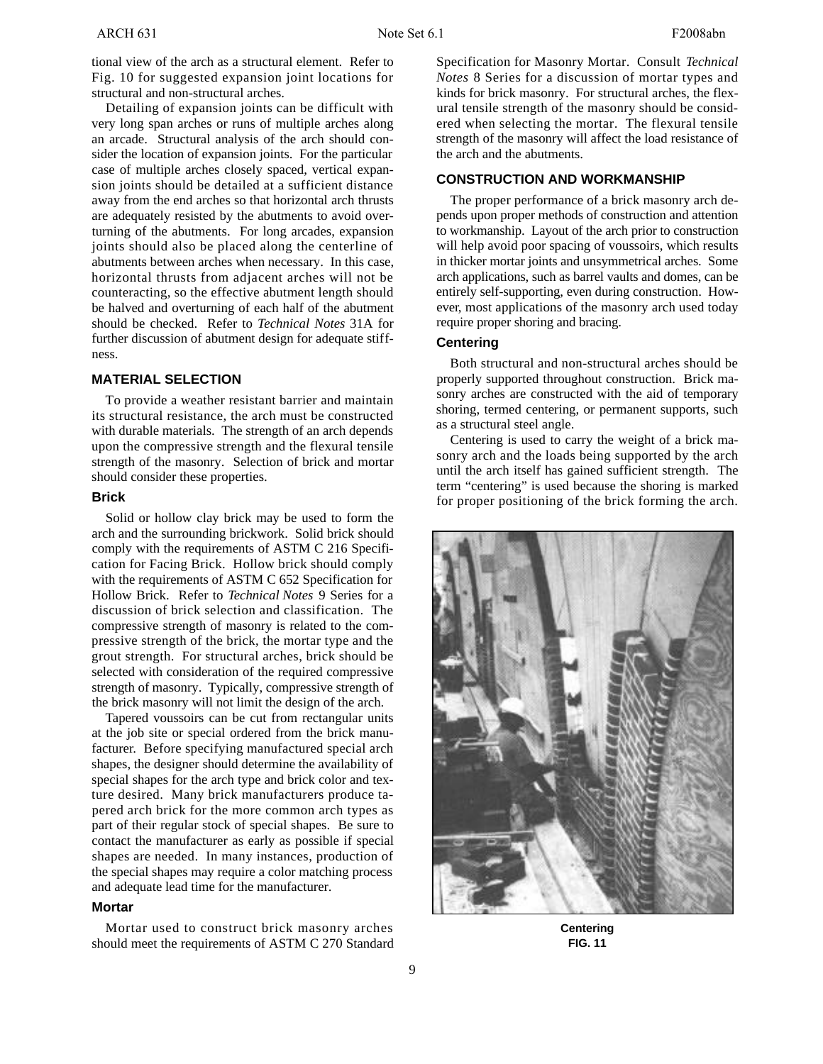tional view of the arch as a structural element. Refer to Fig. 10 for suggested expansion joint locations for structural and non-structural arches.

Detailing of expansion joints can be difficult with very long span arches or runs of multiple arches along an arcade. Structural analysis of the arch should consider the location of expansion joints. For the particular case of multiple arches closely spaced, vertical expansion joints should be detailed at a sufficient distance away from the end arches so that horizontal arch thrusts are adequately resisted by the abutments to avoid overturning of the abutments. For long arcades, expansion joints should also be placed along the centerline of abutments between arches when necessary. In this case, horizontal thrusts from adjacent arches will not be counteracting, so the effective abutment length should be halved and overturning of each half of the abutment should be checked. Refer to *Technical Notes* 31A for further discussion of abutment design for adequate stiffness.

#### **MATERIAL SELECTION**

To provide a weather resistant barrier and maintain its structural resistance, the arch must be constructed with durable materials. The strength of an arch depends upon the compressive strength and the flexural tensile strength of the masonry. Selection of brick and mortar should consider these properties.

### **Brick**

Solid or hollow clay brick may be used to form the arch and the surrounding brickwork. Solid brick should comply with the requirements of ASTM C 216 Specification for Facing Brick. Hollow brick should comply with the requirements of ASTM C 652 Specification for Hollow Brick. Refer to *Technical Notes* 9 Series for a discussion of brick selection and classification. The compressive strength of masonry is related to the compressive strength of the brick, the mortar type and the grout strength. For structural arches, brick should be selected with consideration of the required compressive strength of masonry. Typically, compressive strength of the brick masonry will not limit the design of the arch.

Tapered voussoirs can be cut from rectangular units at the job site or special ordered from the brick manufacturer. Before specifying manufactured special arch shapes, the designer should determine the availability of special shapes for the arch type and brick color and texture desired. Many brick manufacturers produce tapered arch brick for the more common arch types as part of their regular stock of special shapes. Be sure to contact the manufacturer as early as possible if special shapes are needed. In many instances, production of the special shapes may require a color matching process and adequate lead time for the manufacturer.

### **Mortar**

Mortar used to construct brick masonry arches should meet the requirements of ASTM C 270 Standard Specification for Masonry Mortar. Consult *Technical Notes* 8 Series for a discussion of mortar types and kinds for brick masonry. For structural arches, the flexural tensile strength of the masonry should be considered when selecting the mortar. The flexural tensile strength of the masonry will affect the load resistance of the arch and the abutments.

## **CONSTRUCTION AND WORKMANSHIP**

The proper performance of a brick masonry arch depends upon proper methods of construction and attention to workmanship. Layout of the arch prior to construction will help avoid poor spacing of voussoirs, which results in thicker mortar joints and unsymmetrical arches. Some arch applications, such as barrel vaults and domes, can be entirely self-supporting, even during construction. However, most applications of the masonry arch used today require proper shoring and bracing.

## **Centering**

Both structural and non-structural arches should be properly supported throughout construction. Brick masonry arches are constructed with the aid of temporary shoring, termed centering, or permanent supports, such as a structural steel angle.

Centering is used to carry the weight of a brick masonry arch and the loads being supported by the arch until the arch itself has gained sufficient strength. The term "centering" is used because the shoring is marked for proper positioning of the brick forming the arch.



**Centering FIG. 11**